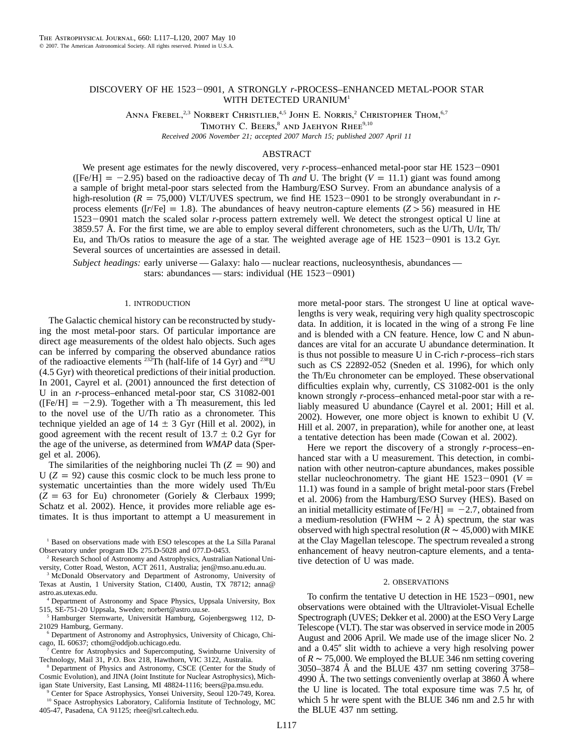# DISCOVERY OF HE 1523-0901, A STRONGLY *r*-PROCESS-ENHANCED METAL-POOR STAR WITH DETECTED URANIUM<sup>1</sup>

ANNA FREBEL,<sup>2,3</sup> NORBERT CHRISTLIEB,<sup>4,5</sup> JOHN E. NORRIS,<sup>2</sup> CHRISTOPHER THOM,<sup>6,7</sup>

TIMOTHY C. BEERS,<sup>8</sup> AND JAEHYON RHEE<sup>9,10</sup>

*Received 2006 November 21; accepted 2007 March 15; published 2007 April 11*

# ABSTRACT

We present age estimates for the newly discovered, very *r*-process–enhanced metal-poor star HE 1523-0901 ( $[Fe/H] = -2.95$ ) based on the radioactive decay of Th *and* U. The bright ( $V = 11.1$ ) giant was found among a sample of bright metal-poor stars selected from the Hamburg/ESO Survey. From an abundance analysis of a high-resolution ( $R = 75,000$ ) VLT/UVES spectrum, we find HE 1523-0901 to be strongly overabundant in *r*process elements ( $[r/Fe] = 1.8$ ). The abundances of heavy neutron-capture elements ( $Z > 56$ ) measured in HE 1523-0901 match the scaled solar *r*-process pattern extremely well. We detect the strongest optical U line at 3859.57 Å. For the first time, we are able to employ several different chronometers, such as the U/Th, U/Ir, Th/ Eu, and Th/Os ratios to measure the age of a star. The weighted average age of HE  $1523-0901$  is 13.2 Gyr. Several sources of uncertainties are assessed in detail.

*Subject headings:* early universe — Galaxy: halo — nuclear reactions, nucleosynthesis, abundances stars: abundances — stars: individual (HE  $1523-0901$ )

## 1. INTRODUCTION

The Galactic chemical history can be reconstructed by studying the most metal-poor stars. Of particular importance are direct age measurements of the oldest halo objects. Such ages can be inferred by comparing the observed abundance ratios of the radioactive elements  $^{232}$ Th (half-life of 14 Gyr) and  $^{238}$ U (4.5 Gyr) with theoretical predictions of their initial production. In 2001, Cayrel et al. (2001) announced the first detection of U in an *r*-process–enhanced metal-poor star, CS 31082-001 ( $[Fe/H] = -2.9$ ). Together with a Th measurement, this led to the novel use of the U/Th ratio as a chronometer. This technique yielded an age of  $14 \pm 3$  Gyr (Hill et al. 2002), in good agreement with the recent result of  $13.7 \pm 0.2$  Gyr for the age of the universe, as determined from *WMAP* data (Spergel et al. 2006).

The similarities of the neighboring nuclei Th  $(Z = 90)$  and  $U$  ( $Z = 92$ ) cause this cosmic clock to be much less prone to systematic uncertainties than the more widely used Th/Eu  $(Z = 63$  for Eu) chronometer (Goriely & Clerbaux 1999; Schatz et al. 2002). Hence, it provides more reliable age estimates. It is thus important to attempt a U measurement in

<sup>1</sup> Based on observations made with ESO telescopes at the La Silla Paranal Observatory under program IDs 275.D-5028 and 077.D-0453.

<sup>2</sup> Research School of Astronomy and Astrophysics, Australian National University, Cotter Road, Weston, ACT 2611, Australia; jen@mso.anu.edu.au.

<sup>3</sup> McDonald Observatory and Department of Astronomy, University of Texas at Austin, 1 University Station, C1400, Austin, TX 78712; anna@ astro.as.utexas.edu.

<sup>4</sup> Department of Astronomy and Space Physics, Uppsala University, Box 515, SE-751-20 Uppsala, Sweden; norbert@astro.uu.se.

<sup>5</sup> Hamburger Sternwarte, Universität Hamburg, Gojenbergsweg 112, D-21029 Hamburg, Germany.

<sup>6</sup> Department of Astronomy and Astrophysics, University of Chicago, Chicago, IL 60637; cthom@oddjob.uchicago.edu.

<sup>7</sup> Centre for Astrophysics and Supercomputing, Swinburne University of Technology, Mail 31, P.O. Box 218, Hawthorn, VIC 3122, Australia.

<sup>8</sup> Department of Physics and Astronomy, CSCE (Center for the Study of Cosmic Evolution), and JINA (Joint Institute for Nuclear Astrophysics), Michigan State University, East Lansing, MI 48824-1116; beers@pa.msu.edu.

<sup>9</sup> Center for Space Astrophysics, Yonsei University, Seoul 120-749, Korea. <sup>10</sup> Space Astrophysics Laboratory, California Institute of Technology, MC 405-47, Pasadena, CA 91125; rhee@srl.caltech.edu.

more metal-poor stars. The strongest U line at optical wavelengths is very weak, requiring very high quality spectroscopic data. In addition, it is located in the wing of a strong Fe line and is blended with a CN feature. Hence, low C and N abundances are vital for an accurate U abundance determination. It is thus not possible to measure U in C-rich *r*-process–rich stars such as CS 22892-052 (Sneden et al. 1996), for which only the Th/Eu chronometer can be employed. These observational difficulties explain why, currently, CS 31082-001 is the only known strongly *r*-process–enhanced metal-poor star with a reliably measured U abundance (Cayrel et al. 2001; Hill et al. 2002). However, one more object is known to exhibit U (V. Hill et al. 2007, in preparation), while for another one, at least a tentative detection has been made (Cowan et al. 2002).

Here we report the discovery of a strongly *r*-process–enhanced star with a U measurement. This detection, in combination with other neutron-capture abundances, makes possible stellar nucleochronometry. The giant HE  $1523-0901$  (*V* = 11.1) was found in a sample of bright metal-poor stars (Frebel et al. 2006) from the Hamburg/ESO Survey (HES). Based on an initial metallicity estimate of [Fe/H]  $= -2.7$ , obtained from a medium-resolution (FWHM  $\sim 2$  Å) spectrum, the star was observed with high spectral resolution ( $R \sim 45,000$ ) with MIKE at the Clay Magellan telescope. The spectrum revealed a strong enhancement of heavy neutron-capture elements, and a tentative detection of U was made.

## 2. OBSERVATIONS

To confirm the tentative U detection in HE  $1523-0901$ , new observations were obtained with the Ultraviolet-Visual Echelle Spectrograph (UVES; Dekker et al. 2000) at the ESO Very Large Telescope (VLT). The star was observed in service mode in 2005 August and 2006 April. We made use of the image slicer No. 2 and a 0.45" slit width to achieve a very high resolving power of  $R \sim 75,000$ . We employed the BLUE 346 nm setting covering  $3050-3874$  Å and the BLUE 437 nm setting covering 3758– 4990 Å. The two settings conveniently overlap at 3860 Å where the U line is located. The total exposure time was 7.5 hr, of which 5 hr were spent with the BLUE 346 nm and 2.5 hr with the BLUE 437 nm setting.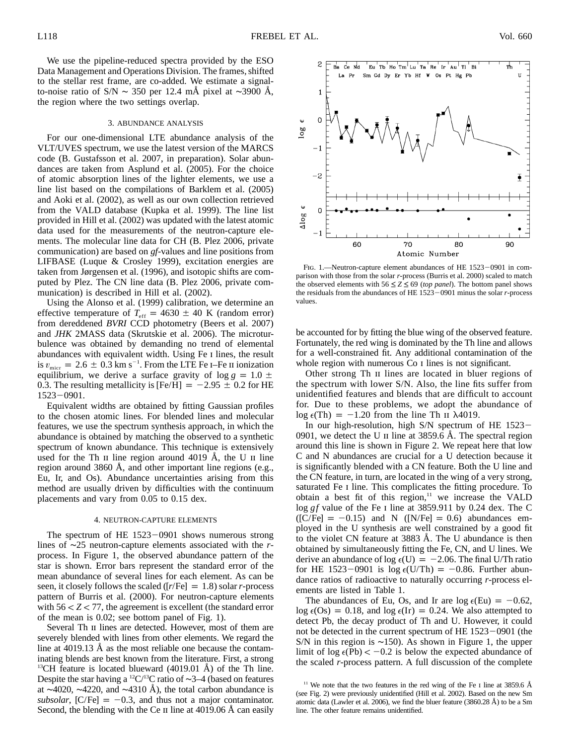We use the pipeline-reduced spectra provided by the ESO Data Management and Operations Division. The frames, shifted to the stellar rest frame, are co-added. We estimate a signalto-noise ratio of S/N ~ 350 per 12.4 mÅ pixel at ~3900 Å, the region where the two settings overlap.

#### 3. ABUNDANCE ANALYSIS

For our one-dimensional LTE abundance analysis of the VLT/UVES spectrum, we use the latest version of the MARCS code (B. Gustafsson et al. 2007, in preparation). Solar abundances are taken from Asplund et al. (2005). For the choice of atomic absorption lines of the lighter elements, we use a line list based on the compilations of Barklem et al. (2005) and Aoki et al. (2002), as well as our own collection retrieved from the VALD database (Kupka et al. 1999). The line list provided in Hill et al. (2002) was updated with the latest atomic data used for the measurements of the neutron-capture elements. The molecular line data for CH (B. Plez 2006, private communication) are based on *gf*-values and line positions from LIFBASE (Luque & Crosley 1999), excitation energies are taken from Jørgensen et al. (1996), and isotopic shifts are computed by Plez. The CN line data (B. Plez 2006, private communication) is described in Hill et al. (2002).

Using the Alonso et al. (1999) calibration, we determine an effective temperature of  $T_{\text{eff}} = 4630 \pm 40 \text{ K}$  (random error) from dereddened *BVRI* CCD photometry (Beers et al. 2007) and *JHK* 2MASS data (Skrutskie et al. 2006). The microturbulence was obtained by demanding no trend of elemental abundances with equivalent width. Using Fe i lines, the result is  $v_{\text{micro}} = 2.6 \pm 0.3 \text{ km s}^{-1}$ . From the LTE Fe I–Fe II ionization equilibrium, we derive a surface gravity of  $\log g = 1.0 \pm \frac{1}{2}$ 0.3. The resulting metallicity is [Fe/H] =  $-2.95 \pm 0.2$  for HE  $1523 - 0901$ .

Equivalent widths are obtained by fitting Gaussian profiles to the chosen atomic lines. For blended lines and molecular features, we use the spectrum synthesis approach, in which the abundance is obtained by matching the observed to a synthetic spectrum of known abundance. This technique is extensively used for the Th  $\pi$  line region around 4019 Å, the U  $\pi$  line region around 3860 Å, and other important line regions (e.g., Eu, Ir, and Os). Abundance uncertainties arising from this method are usually driven by difficulties with the continuum placements and vary from 0.05 to 0.15 dex.

#### 4. NEUTRON-CAPTURE ELEMENTS

The spectrum of HE  $1523-0901$  shows numerous strong lines of ∼25 neutron-capture elements associated with the *r*process. In Figure 1, the observed abundance pattern of the star is shown. Error bars represent the standard error of the mean abundance of several lines for each element. As can be seen, it closely follows the scaled ( $[r/Fe] = 1.8$ ) solar *r*-process pattern of Burris et al. (2000). For neutron-capture elements with  $56 < Z < 77$ , the agreement is excellent (the standard error of the mean is 0.02; see bottom panel of Fig. 1).

Several Th II lines are detected. However, most of them are severely blended with lines from other elements. We regard the line at  $4019.13$  Å as the most reliable one because the contaminating blends are best known from the literature. First, a strong <sup>13</sup>CH feature is located blueward  $(4019.01 \text{ Å})$  of the Th line. Despite the star having a 12C/13C ratio of ∼3–4 (based on features at ~4020, ~4220, and ~4310 Å), the total carbon abundance is *subsolar*,  $[C/Fe] = -0.3$ , and thus not a major contaminator. Second, the blending with the Ce II line at  $4019.06 \text{ Å}$  can easily



FIG. 1.-Neutron-capture element abundances of HE 1523-0901 in comparison with those from the solar *r*-process (Burris et al. 2000) scaled to match the observed elements with  $56 \le Z \le 69$  *(top panel*). The bottom panel shows the residuals from the abundances of HE  $1523-0901$  minus the solar *r*-process values.

be accounted for by fitting the blue wing of the observed feature. Fortunately, the red wing is dominated by the Th line and allows for a well-constrained fit. Any additional contamination of the whole region with numerous Co I lines is not significant.

Other strong Th II lines are located in bluer regions of the spectrum with lower S/N. Also, the line fits suffer from unidentified features and blends that are difficult to account for. Due to these problems, we adopt the abundance of  $\log \epsilon(Th) = -1.20$  from the line Th II  $\lambda$ 4019.

In our high-resolution, high S/N spectrum of HE 1523– 0901, we detect the U  $\scriptstyle\rm II$  line at 3859.6 Å. The spectral region around this line is shown in Figure 2. We repeat here that low C and N abundances are crucial for a U detection because it is significantly blended with a CN feature. Both the U line and the CN feature, in turn, are located in the wing of a very strong, saturated Fe i line. This complicates the fitting procedure. To obtain a best fit of this region, $11$  we increase the VALD log *gf* value of the Fe i line at 3859.911 by 0.24 dex. The C  $({\rm [C/Fe]} = -0.15)$  and N  $({\rm [N/Fe]} = 0.6)$  abundances employed in the U synthesis are well constrained by a good fit to the violet CN feature at  $3883$  Å. The U abundance is then obtained by simultaneously fitting the Fe, CN, and U lines. We derive an abundance of log  $\epsilon(U) = -2.06$ . The final U/Th ratio for HE 1523-0901 is  $log \epsilon$ (U/Th) = -0.86. Further abundance ratios of radioactive to naturally occurring *r*-process elements are listed in Table 1.

The abundances of Eu, Os, and Ir are  $log \epsilon(Eu) = -0.62$ ,  $\log \epsilon(\text{Os}) = 0.18$ , and  $\log \epsilon(\text{Ir}) = 0.24$ . We also attempted to detect Pb, the decay product of Th and U. However, it could not be detected in the current spectrum of HE  $1523-0901$  (the S/N in this region is ∼150). As shown in Figure 1, the upper limit of  $log \epsilon(Pb) < -0.2$  is below the expected abundance of the scaled *r*-process pattern. A full discussion of the complete

<sup>&</sup>lt;sup>11</sup> We note that the two features in the red wing of the Fe I line at 3859.6 Å (see Fig. 2) were previously unidentified (Hill et al. 2002). Based on the new Sm atomic data (Lawler et al. 2006), we find the bluer feature (3860.28 Å) to be a Sm line. The other feature remains unidentified.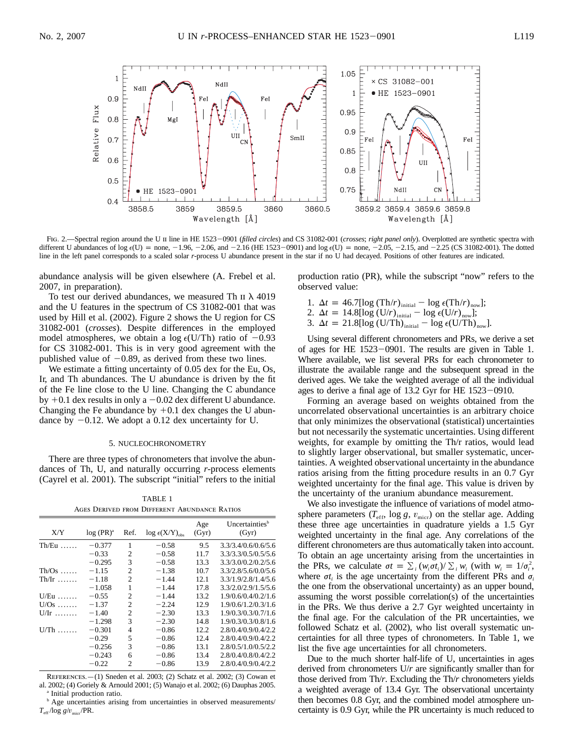

Fig. 2.—Spectral region around the U II line in HE 1523-0901 (*filled circles*) and CS 31082-001 (*crosses*; *right panel only*). Overplotted are synthetic spectra with different U abundances of log  $\epsilon$ (U) = none, -1.96, -2.06, and -2.16 (HE 1523-0901) and log  $\epsilon$ (U) = none, -2.05, -2.15, and -2.25 (CS 31082-001). The dotted line in the left panel corresponds to a scaled solar *r*-process U abundance present in the star if no U had decayed. Positions of other features are indicated.

abundance analysis will be given elsewhere (A. Frebel et al. 2007, in preparation).

To test our derived abundances, we measured Th  $\pi$  at 4019 and the U features in the spectrum of CS 31082-001 that was used by Hill et al. (2002). Figure 2 shows the U region for CS 31082-001 (*crosses*). Despite differences in the employed model atmospheres, we obtain a  $log \epsilon$ (U/Th) ratio of  $-0.93$ for CS 31082-001. This is in very good agreement with the published value of  $-0.89$ , as derived from these two lines.

We estimate a fitting uncertainty of 0.05 dex for the Eu, Os, Ir, and Th abundances. The U abundance is driven by the fit of the Fe line close to the U line. Changing the C abundance by  $+0.1$  dex results in only a  $-0.02$  dex different U abundance. Changing the Fe abundance by  $+0.1$  dex changes the U abundance by  $-0.12$ . We adopt a 0.12 dex uncertainty for U.

#### 5. NUCLEOCHRONOMETRY

There are three types of chronometers that involve the abundances of Th, U, and naturally occurring *r*-process elements (Cayrel et al. 2001). The subscript "initial" refers to the initial

TABLE 1 Ages Derived from Different Abundance Ratios

| Age<br>X/Y<br>$log (PR)^{a}$<br>$log \epsilon(X/Y)_{obs}$<br>(Gyr)<br>Ref.<br>1<br>$Th/Eu$<br>$-0.377$<br>9.5<br>$-0.58$<br>$-0.33$<br>$-0.58$<br>2<br>11.7<br>$-0.295$<br>3<br>$-0.58$<br>13.3<br>$-1.15$<br>2<br>$-1.38$<br>10.7<br>$Th/Os$<br>$\overline{c}$<br>$-1.44$<br>$-1.18$<br>12.1<br>$Th/Ir$<br>$-1.058$<br>1<br>$-1.44$<br>17.8<br>$-1.44$<br>13.2<br>$U/Eu$<br>$-0.55$<br>$\overline{c}$<br>$U/Os$<br>$-1.37$<br>$\overline{c}$<br>$-2.24$<br>12.9<br>$-1.40$<br>2<br>13.3<br>$U/Ir$<br>$-2.30$<br>3<br>14.8<br>$-1.298$<br>$-2.30$<br>$-0.301$<br>$-0.86$<br>12.2<br>$U/Th$<br>4<br>5<br>12.4<br>$-0.29$<br>$-0.86$<br>3<br>$-0.256$<br>13.1<br>$-0.86$<br>$-0.243$<br>13.4<br>6<br>$-0.86$<br>$-0.22$<br>$\mathfrak{D}$<br>$-0.86$<br>13.9 |  |  |  |                                     |
|------------------------------------------------------------------------------------------------------------------------------------------------------------------------------------------------------------------------------------------------------------------------------------------------------------------------------------------------------------------------------------------------------------------------------------------------------------------------------------------------------------------------------------------------------------------------------------------------------------------------------------------------------------------------------------------------------------------------------------------------------------|--|--|--|-------------------------------------|
|                                                                                                                                                                                                                                                                                                                                                                                                                                                                                                                                                                                                                                                                                                                                                            |  |  |  | Uncertainties <sup>b</sup><br>(Gyr) |
|                                                                                                                                                                                                                                                                                                                                                                                                                                                                                                                                                                                                                                                                                                                                                            |  |  |  | 3.3/3.4/0.6/0.6/5.6                 |
|                                                                                                                                                                                                                                                                                                                                                                                                                                                                                                                                                                                                                                                                                                                                                            |  |  |  | 3.3/3.3/0.5/0.5/5.6                 |
|                                                                                                                                                                                                                                                                                                                                                                                                                                                                                                                                                                                                                                                                                                                                                            |  |  |  | 3.3/3.0/0.2/0.2/5.6                 |
|                                                                                                                                                                                                                                                                                                                                                                                                                                                                                                                                                                                                                                                                                                                                                            |  |  |  | 3.3/2.8/5.6/0.0/5.6                 |
|                                                                                                                                                                                                                                                                                                                                                                                                                                                                                                                                                                                                                                                                                                                                                            |  |  |  | 3.3/1.9/2.8/1.4/5.6                 |
|                                                                                                                                                                                                                                                                                                                                                                                                                                                                                                                                                                                                                                                                                                                                                            |  |  |  | 3.3/2.0/2.9/1.5/5.6                 |
|                                                                                                                                                                                                                                                                                                                                                                                                                                                                                                                                                                                                                                                                                                                                                            |  |  |  | 1.9/0.6/0.4/0.2/1.6                 |
|                                                                                                                                                                                                                                                                                                                                                                                                                                                                                                                                                                                                                                                                                                                                                            |  |  |  | 1.9/0.6/1.2/0.3/1.6                 |
|                                                                                                                                                                                                                                                                                                                                                                                                                                                                                                                                                                                                                                                                                                                                                            |  |  |  | 1.9/0.3/0.3/0.7/1.6                 |
|                                                                                                                                                                                                                                                                                                                                                                                                                                                                                                                                                                                                                                                                                                                                                            |  |  |  | 1.9/0.3/0.3/0.8/1.6                 |
|                                                                                                                                                                                                                                                                                                                                                                                                                                                                                                                                                                                                                                                                                                                                                            |  |  |  | 2.8/0.4/0.9/0.4/2.2                 |
|                                                                                                                                                                                                                                                                                                                                                                                                                                                                                                                                                                                                                                                                                                                                                            |  |  |  | 2.8/0.4/0.9/0.4/2.2                 |
|                                                                                                                                                                                                                                                                                                                                                                                                                                                                                                                                                                                                                                                                                                                                                            |  |  |  | 2.8/0.5/1.0/0.5/2.2                 |
|                                                                                                                                                                                                                                                                                                                                                                                                                                                                                                                                                                                                                                                                                                                                                            |  |  |  | 2.8/0.4/0.8/0.4/2.2                 |
|                                                                                                                                                                                                                                                                                                                                                                                                                                                                                                                                                                                                                                                                                                                                                            |  |  |  | 2.8/0.4/0.9/0.4/2.2                 |

References.—(1) Sneden et al. 2003; (2) Schatz et al. 2002; (3) Cowan et al. 2002; (4) Goriely & Arnould 2001; (5) Wanajo et al. 2002; (6) Dauphas 2005. <sup>a</sup> Initial production ratio.

**b** Age uncertainties arising from uncertainties in observed measurements/  $T_{\text{eff}}$ / $\log g/v_{\text{micro}}$ /PR.

production ratio (PR), while the subscript "now" refers to the observed value:

- 1.  $\Delta t = 46.7[\log(\text{Th}/r)]_{\text{initial}} \log \epsilon(\text{Th}/r)_{\text{now}}];$
- 2.  $\Delta t = 14.8[\log (U/r)_{\text{initial}} \log (\frac{U}{r})_{\text{now}}];$
- 3.  $\Delta t = 21.8[\log (U/Th)_{initial} \log \epsilon(U/Th)_{now}].$

Using several different chronometers and PRs, we derive a set of ages for HE  $1523-0901$ . The results are given in Table 1. Where available, we list several PRs for each chronometer to illustrate the available range and the subsequent spread in the derived ages. We take the weighted average of all the individual ages to derive a final age of  $13.2$  Gyr for HE  $1523-0910$ .

Forming an average based on weights obtained from the uncorrelated observational uncertainties is an arbitrary choice that only minimizes the observational (statistical) uncertainties but not necessarily the systematic uncertainties. Using different weights, for example by omitting the Th/r ratios, would lead to slightly larger observational, but smaller systematic, uncertainties. A weighted observational uncertainty in the abundance ratios arising from the fitting procedure results in an 0.7 Gyr weighted uncertainty for the final age. This value is driven by the uncertainty of the uranium abundance measurement.

We also investigate the influence of variations of model atmosphere parameters  $(T_{\text{eff}}$ , log *g*,  $v_{\text{micro}}$  on the stellar age. Adding these three age uncertainties in quadrature yields a 1.5 Gyr weighted uncertainty in the final age. Any correlations of the different chronometers are thus automatically taken into account. To obtain an age uncertainty arising from the uncertainties in the PRs, we calculate  $\sigma t = \sum_i (w_i \sigma t_i) / \sum_i w_i$  (with  $w_i = 1/\sigma_i^2$ , where  $\sigma t_i$  is the age uncertainty from the different PRs and  $\sigma_i$ the one from the observational uncertainty) as an upper bound, assuming the worst possible correlation(s) of the uncertainties in the PRs. We thus derive a 2.7 Gyr weighted uncertainty in the final age. For the calculation of the PR uncertainties, we followed Schatz et al. (2002), who list overall systematic uncertainties for all three types of chronometers. In Table 1, we list the five age uncertainties for all chronometers.

Due to the much shorter half-life of U, uncertainties in ages derived from chronometers U/*r* are significantly smaller than for those derived from Th/*r*. Excluding the Th/*r* chronometers yields a weighted average of 13.4 Gyr. The observational uncertainty then becomes 0.8 Gyr, and the combined model atmosphere uncertainty is 0.9 Gyr, while the PR uncertainty is much reduced to